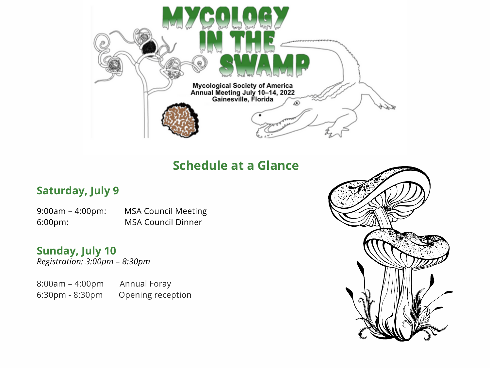

# **Schedule at a Glance**

## **Saturday, July 9**

9:00am – 4:00pm: MSA Council Meeting 6:00pm: MSA Council Dinner

*Registration: 3:00pm – 8:30pm* **Sunday, July 10**

8:00am – 4:00pm Annual Foray 6:30pm - 8:30pm Opening reception

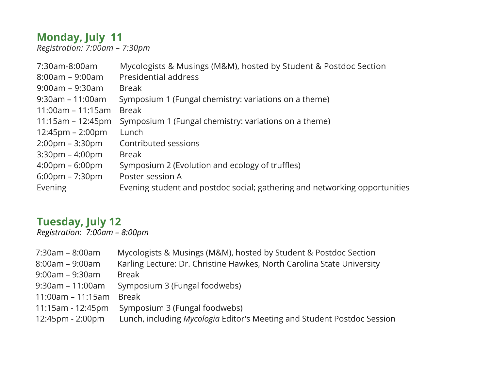# **Monday, July 11**

*Registration: 7:00am – 7:30pm*

| Mycologists & Musings (M&M), hosted by Student & Postdoc Section           |
|----------------------------------------------------------------------------|
| Presidential address                                                       |
| <b>Break</b>                                                               |
| Symposium 1 (Fungal chemistry: variations on a theme)                      |
| <b>Break</b>                                                               |
| Symposium 1 (Fungal chemistry: variations on a theme)                      |
| Lunch                                                                      |
| Contributed sessions                                                       |
| Break                                                                      |
| Symposium 2 (Evolution and ecology of truffles)                            |
| Poster session A                                                           |
| Evening student and postdoc social; gathering and networking opportunities |
|                                                                            |

#### **Tuesday, July 12** *Registration: 7:00am – 8:00pm*

| $7:30$ am – 8:00am    | Mycologists & Musings (M&M), hosted by Student & Postdoc Section        |
|-----------------------|-------------------------------------------------------------------------|
| $8:00am - 9:00am$     | Karling Lecture: Dr. Christine Hawkes, North Carolina State University  |
| $9:00$ am – $9:30$ am | <b>Break</b>                                                            |
| $9:30$ am – 11:00am   | Symposium 3 (Fungal foodwebs)                                           |
| $11:00am - 11:15am$   | <b>Break</b>                                                            |
| 11:15am - 12:45pm     | Symposium 3 (Fungal foodwebs)                                           |
| 12:45pm - 2:00pm      | Lunch, including Mycologia Editor's Meeting and Student Postdoc Session |
|                       |                                                                         |